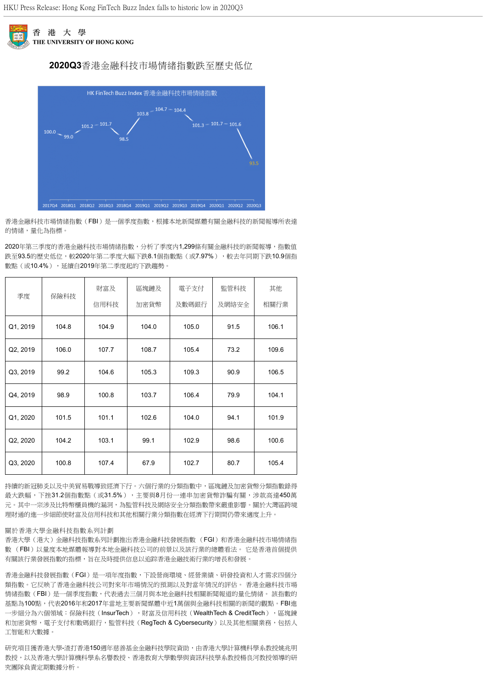

# **2020Q3**香港金融科技市場情緒指數跌至歷史低位



香港金融科技市場情緒指數(FBI)是一個季度指數,根據本地新聞媒體有關金融科技的新聞報導所表達 的情緒,量化為指標。

2020年第三季度的香港金融科技市場情緒指數,分析了季度内1,299條有關金融科技的新聞報導,指數值 跌至93.5的歷史低位,較2020年第二季度大幅下跌8.1個指數點(或7.97%),較去年同期下跌10.9個指 數點(或10.4%),延續自2019年第二季度起的下跌趨勢。

| 季度       | 保險科技  | 財富及<br>信用科技 | 區塊鏈及<br>加密貨幣 | 電子支付<br>及數碼銀行 | 監管科技<br>及網絡安全 | 其他<br>相關行業 |
|----------|-------|-------------|--------------|---------------|---------------|------------|
| Q1, 2019 | 104.8 | 104.9       | 104.0        | 105.0         | 91.5          | 106.1      |
| Q2, 2019 | 106.0 | 107.7       | 108.7        | 105.4         | 73.2          | 109.6      |
| Q3, 2019 | 99.2  | 104.6       | 105.3        | 109.3         | 90.9          | 106.5      |
| Q4, 2019 | 98.9  | 100.8       | 103.7        | 106.4         | 79.9          | 104.1      |
| Q1, 2020 | 101.5 | 101.1       | 102.6        | 104.0         | 94.1          | 101.9      |
| Q2, 2020 | 104.2 | 103.1       | 99.1         | 102.9         | 98.6          | 100.6      |
| Q3, 2020 | 100.8 | 107.4       | 67.9         | 102.7         | 80.7          | 105.4      |

持續的新冠肺炎以及中美貿易戰導致經濟下行。六個行業的分類指數中,區塊鏈及加密貨幣分類指數錄得 最大跌幅,下挫31.2個指數點(或31.5%),主要與8月份一連串加密貨幣詐騙有關,涉款高達450萬 元。其中一宗涉及比特幣櫃員機的漏洞,為監管科技及網絡安全分類指數帶來嚴重影響。關於大灣區跨境 理財通的進一步細節使財富及信用科技和其他相關行業分類指數在經濟下行期間仍帶來適度上升。

### 關於香港大學金融科技指數系列計劃

香港大學(港大)金融科技指數系列計劃推出香港金融科技發展指數 (FGI)和香港金融科技市場情緒指 數 (FBI)以量度本地媒體報導對本地金融科技公司的前景以及該行業的總體看法。 它是香港首個提供 有關該行業發展指數的指標,旨在及時提供信息以追踪香港金融技術行業的增長和發展。

香港金融科技發展指數(FGI)是一項年度指數,下設營商環境、經營業績、研發投資和人才需求四個分 類指數。它反映了香港金融科技公司對來年市場情況的預測以及對當年情況的評估。 香港金融科技市場 情緒指數(FBI)是一個季度指數,代表過去三個月與本地金融科技相關新聞報道的量化情緒。 該指數的 基點為100點,代表2016年和2017年當地主要新聞媒體中近1萬個與金融科技相關的新聞的觀點。FBI進 一步細分為六個領域:保險科技(InsurTech),財富及信用科技(WealthTech & CreditTech),區塊鍊 和加密貨幣,電子支付和數碼銀行,監管科技(RegTech & Cybersecurity)以及其他相關業務,包括人 工智能和大數據。

研究項目獲香港大學-渣打香港150週年慈善基金金融科技學院資助,由香港大學計算機科學系教授姚兆明 教授,以及香港大學計算機科學系名譽教授、香港教育大學數學與資訊科技學系教授楊良河教授領導的研 究團隊負責定期數據分析。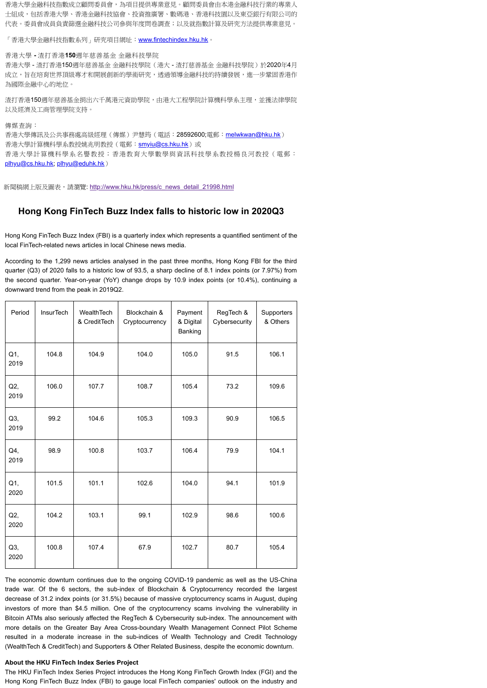香港大學金融科技指數成立顧問委員會,為項目提供專業意見。顧問委員會由本港金融科技行業的專業人 士組成,包括香港大學、香港金融科技協會、投資推廣署、數碼港、香港科技園以及東亞銀行有限公司的 代表。委員會成員負責篩選金融科技公司參與年度問卷調查;以及就指數計算及研究方法提供專業意見。

「香港大學金融科技指數系列」研究項目網址: [www.fintechindex.hku.hk](http://www.fintechindex.hku.hk/)。

香港大學 **-** 渣打香港**150**週年慈善基金 金融科技學院

香港大學 - 渣打香港150週年慈善基金 金融科技學院 (港大 - 渣打慈善基金 金融科技學院)於2020年4月 成立,旨在培育世界頂級專才和開展創新的學術研究,透過領導金融科技的持續發展,進一步鞏固香港作 為國際金融中心的地位。

渣打香港150週年慈善基金捐出六千萬港元資助學院,由港大工程學院計算機科學系主理,並獲法律學院 以及經濟及工商管理學院支持。

傳媒查詢:

香港大學傳訊及公共事務處高級經理(傳媒)尹慧筠(電話: 28592600;電郵: [melwkwan@hku.hk](mailto:melwkwan@hku.hk)) 香港大學計算機科學系教授姚兆明教授(電郵: [smyiu@cs.hku.hk](mailto:smyiu@cs.hku.hk))或 香港大學計算機科學系名譽教授;香港教育大學數學與資訊科技學系教授楊良河教授(電郵: [plhyu@cs.hku.hk](mailto:plhyu@cs.hku.hk); [plhyu@eduhk.hk](mailto:plhyu@eduhk.hk))

新聞稿網上版及圖表,請瀏覽: [http://www.hku.hk/press/c\\_news\\_detail\\_21998.html](http://www.hku.hk/press/c_news_detail_21998.html)

## **Hong Kong FinTech Buzz Index falls to historic low in 2020Q3**

Hong Kong FinTech Buzz Index (FBI) is a quarterly index which represents a quantified sentiment of the local FinTech-related news articles in local Chinese news media.

According to the 1,299 news articles analysed in the past three months, Hong Kong FBI for the third quarter (Q3) of 2020 falls to a historic low of 93.5, a sharp decline of 8.1 index points (or 7.97%) from the second quarter. Year-on-year (YoY) change drops by 10.9 index points (or 10.4%), continuing a downward trend from the peak in 2019Q2.

| Period      | <b>InsurTech</b> | WealthTech<br>& CreditTech | Blockchain &<br>Cryptocurrency | Payment<br>& Digital<br>Banking | RegTech &<br>Cybersecurity | Supporters<br>& Others |
|-------------|------------------|----------------------------|--------------------------------|---------------------------------|----------------------------|------------------------|
| Q1,<br>2019 | 104.8            | 104.9                      | 104.0                          | 105.0                           | 91.5                       | 106.1                  |
| Q2,<br>2019 | 106.0            | 107.7                      | 108.7                          | 105.4                           | 73.2                       | 109.6                  |
| Q3,<br>2019 | 99.2             | 104.6                      | 105.3                          | 109.3                           | 90.9                       | 106.5                  |
| Q4,<br>2019 | 98.9             | 100.8                      | 103.7                          | 106.4                           | 79.9                       | 104.1                  |
| Q1,<br>2020 | 101.5            | 101.1                      | 102.6                          | 104.0                           | 94.1                       | 101.9                  |
| Q2<br>2020  | 104.2            | 103.1                      | 99.1                           | 102.9                           | 98.6                       | 100.6                  |
| Q3,<br>2020 | 100.8            | 107.4                      | 67.9                           | 102.7                           | 80.7                       | 105.4                  |

The economic downturn continues due to the ongoing COVID-19 pandemic as well as the US-China trade war. Of the 6 sectors, the sub-index of Blockchain & Cryptocurrency recorded the largest decrease of 31.2 index points (or 31.5%) because of massive cryptocurrency scams in August, duping investors of more than \$4.5 million. One of the cryptocurrency scams involving the vulnerability in Bitcoin ATMs also seriously affected the RegTech & Cybersecurity sub-index. The announcement with more details on the Greater Bay Area Cross-boundary Wealth Management Connect Pilot Scheme resulted in a moderate increase in the sub-indices of Wealth Technology and Credit Technology (WealthTech & CreditTech) and Supporters & Other Related Business, despite the economic downturn.

## **About the HKU FinTech Index Series Project**

The HKU FinTech Index Series Project introduces the Hong Kong FinTech Growth Index (FGI) and the Hong Kong FinTech Buzz Index (FBI) to gauge local FinTech companies' outlook on the industry and